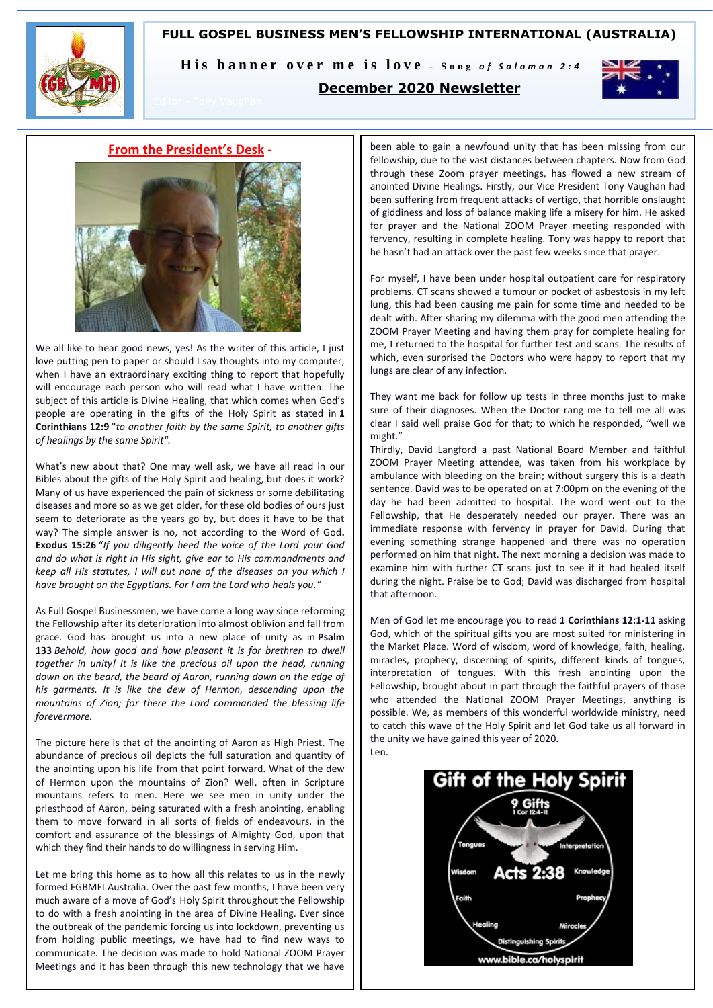# **FULL GOSPEL BUSINESS MEN'S FELLOWSHIP INTERNATIONAL (AUSTRALIA)**



His banner over me is love - Song of Solomon 2:4

# **December 2020 Newsletter**



## **From the President's Desk -**



We all like to hear good news, yes! As the writer of this article, I just love putting pen to paper or should I say thoughts into my computer, when I have an extraordinary exciting thing to report that hopefully will encourage each person who will read what I have written. The subject of this article is Divine Healing, that which comes when God's people are operating in the gifts of the Holy Spirit as stated in **1 Corinthians 12:9** "*to another faith by the same Spirit, to another gifts of healings by the same Spirit".*

What's new about that? One may well ask, we have all read in our Bibles about the gifts of the Holy Spirit and healing, but does it work? Many of us have experienced the pain of sickness or some debilitating diseases and more so as we get older, for these old bodies of ours just seem to deteriorate as the years go by, but does it have to be that way? The simple answer is no, not according to the Word of God**. Exodus 15:26** "*If you diligently heed the voice of the Lord your God and do what is right in His sight, give ear to His commandments and keep all His statutes, I will put none of the diseases on you which I have brought on the Egyptians. For I am the Lord who heals you."*

As Full Gospel Businessmen, we have come a long way since reforming the Fellowship after its deterioration into almost oblivion and fall from grace. God has brought us into a new place of unity as in **Psalm 133** *Behold, how good and how pleasant it is for brethren to dwell together in unity! It is like the precious oil upon the head, running down on the beard, the beard of Aaron, running down on the edge of his garments. It is like the dew of Hermon, descending upon the mountains of Zion; for there the Lord commanded the blessing life forevermore.*

The picture here is that of the anointing of Aaron as High Priest. The abundance of precious oil depicts the full saturation and quantity of the anointing upon his life from that point forward. What of the dew of Hermon upon the mountains of Zion? Well, often in Scripture mountains refers to men. Here we see men in unity under the priesthood of Aaron, being saturated with a fresh anointing, enabling them to move forward in all sorts of fields of endeavours, in the comfort and assurance of the blessings of Almighty God, upon that which they find their hands to do willingness in serving Him.

Let me bring this home as to how all this relates to us in the newly formed FGBMFI Australia. Over the past few months, I have been very much aware of a move of God's Holy Spirit throughout the Fellowship to do with a fresh anointing in the area of Divine Healing. Ever since the outbreak of the pandemic forcing us into lockdown, preventing us from holding public meetings, we have had to find new ways to communicate. The decision was made to hold National ZOOM Prayer Meetings and it has been through this new technology that we have

been able to gain a newfound unity that has been missing from our fellowship, due to the vast distances between chapters. Now from God through these Zoom prayer meetings, has flowed a new stream of anointed Divine Healings. Firstly, our Vice President Tony Vaughan had been suffering from frequent attacks of vertigo, that horrible onslaught of giddiness and loss of balance making life a misery for him. He asked for prayer and the National ZOOM Prayer meeting responded with fervency, resulting in complete healing. Tony was happy to report that he hasn't had an attack over the past few weeks since that prayer.

For myself, I have been under hospital outpatient care for respiratory problems. CT scans showed a tumour or pocket of asbestosis in my left lung, this had been causing me pain for some time and needed to be dealt with. After sharing my dilemma with the good men attending the ZOOM Prayer Meeting and having them pray for complete healing for me, I returned to the hospital for further test and scans. The results of which, even surprised the Doctors who were happy to report that my lungs are clear of any infection.

They want me back for follow up tests in three months just to make sure of their diagnoses. When the Doctor rang me to tell me all was clear I said well praise God for that; to which he responded, "well we might."

Thirdly, David Langford a past National Board Member and faithful ZOOM Prayer Meeting attendee, was taken from his workplace by ambulance with bleeding on the brain; without surgery this is a death sentence. David was to be operated on at 7:00pm on the evening of the day he had been admitted to hospital. The word went out to the Fellowship, that He desperately needed our prayer. There was an immediate response with fervency in prayer for David. During that evening something strange happened and there was no operation performed on him that night. The next morning a decision was made to examine him with further CT scans just to see if it had healed itself during the night. Praise be to God; David was discharged from hospital that afternoon.

Men of God let me encourage you to read **1 Corinthians 12:1-11** asking God, which of the spiritual gifts you are most suited for ministering in the Market Place. Word of wisdom, word of knowledge, faith, healing, miracles, prophecy, discerning of spirits, different kinds of tongues, interpretation of tongues. With this fresh anointing upon the Fellowship, brought about in part through the faithful prayers of those who attended the National ZOOM Prayer Meetings, anything is possible. We, as members of this wonderful worldwide ministry, need to catch this wave of the Holy Spirit and let God take us all forward in the unity we have gained this year of 2020. Len.

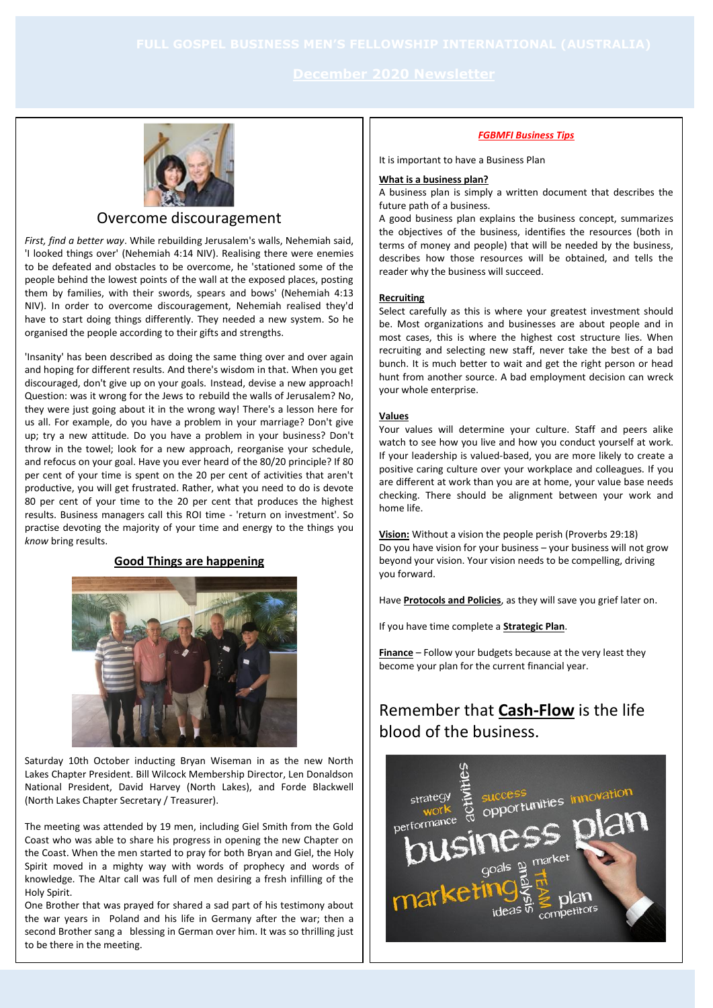

# Overcome discouragement

*First, find a better way*. While rebuilding Jerusalem's walls, Nehemiah said, 'I looked things over' (Nehemiah 4:14 NIV). Realising there were enemies to be defeated and obstacles to be overcome, he 'stationed some of the people behind the lowest points of the wall at the exposed places, posting them by families, with their swords, spears and bows' (Nehemiah 4:13 NIV). In order to overcome discouragement, Nehemiah realised they'd have to start doing things differently. They needed a new system. So he organised the people according to their gifts and strengths.

'Insanity' has been described as doing the same thing over and over again and hoping for different results. And there's wisdom in that. When you get discouraged, don't give up on your goals. Instead, devise a new approach! Question: was it wrong for the Jews to rebuild the walls of Jerusalem? No, they were just going about it in the wrong way! There's a lesson here for us all. For example, do you have a problem in your marriage? Don't give up; try a new attitude. Do you have a problem in your business? Don't throw in the towel; look for a new approach, reorganise your schedule, and refocus on your goal. Have you ever heard of the 80/20 principle? If 80 per cent of your time is spent on the 20 per cent of activities that aren't productive, you will get frustrated. Rather, what you need to do is devote 80 per cent of your time to the 20 per cent that produces the highest results. Business managers call this ROI time - 'return on investment'. So practise devoting the majority of your time and energy to the things you *know* bring results.

# **Good Things are happening**



Saturday 10th October inducting Bryan Wiseman in as the new North Lakes Chapter President. Bill Wilcock Membership Director, Len Donaldson National President, David Harvey (North Lakes), and Forde Blackwell (North Lakes Chapter Secretary / Treasurer).

The meeting was attended by 19 men, including Giel Smith from the Gold Coast who was able to share his progress in opening the new Chapter on the Coast. When the men started to pray for both Bryan and Giel, the Holy Spirit moved in a mighty way with words of prophecy and words of knowledge. The Altar call was full of men desiring a fresh infilling of the Holy Spirit.

One Brother that was prayed for shared a sad part of his testimony about the war years in Poland and his life in Germany after the war; then a second Brother sang a blessing in German over him. It was so thrilling just to be there in the meeting.

#### *FGBMFI Business Tips*

It is important to have a Business Plan

### **What is a business plan?**

A business plan is simply a written document that describes the future path of a business.

A good business plan explains the business concept, summarizes the objectives of the business, identifies the resources (both in terms of money and people) that will be needed by the business, describes how those resources will be obtained, and tells the reader why the business will succeed.

#### **Recruiting**

Select carefully as this is where your greatest investment should be. Most organizations and businesses are about people and in most cases, this is where the highest cost structure lies. When recruiting and selecting new staff, never take the best of a bad bunch. It is much better to wait and get the right person or head hunt from another source. A bad employment decision can wreck your whole enterprise.

### **Values**

Your values will determine your culture. Staff and peers alike watch to see how you live and how you conduct yourself at work. If your leadership is valued-based, you are more likely to create a positive caring culture over your workplace and colleagues. If you are different at work than you are at home, your value base needs checking. There should be alignment between your work and home life.

**Vision:** Without a vision the people perish (Proverbs 29:18) Do you have vision for your business – your business will not grow beyond your vision. Your vision needs to be compelling, driving you forward.

Have **Protocols and Policies**, as they will save you grief later on.

If you have time complete a **Strategic Plan**.

**Finance** – Follow your budgets because at the very least they become your plan for the current financial year.

# Remember that **Cash-Flow** is the life blood of the business.

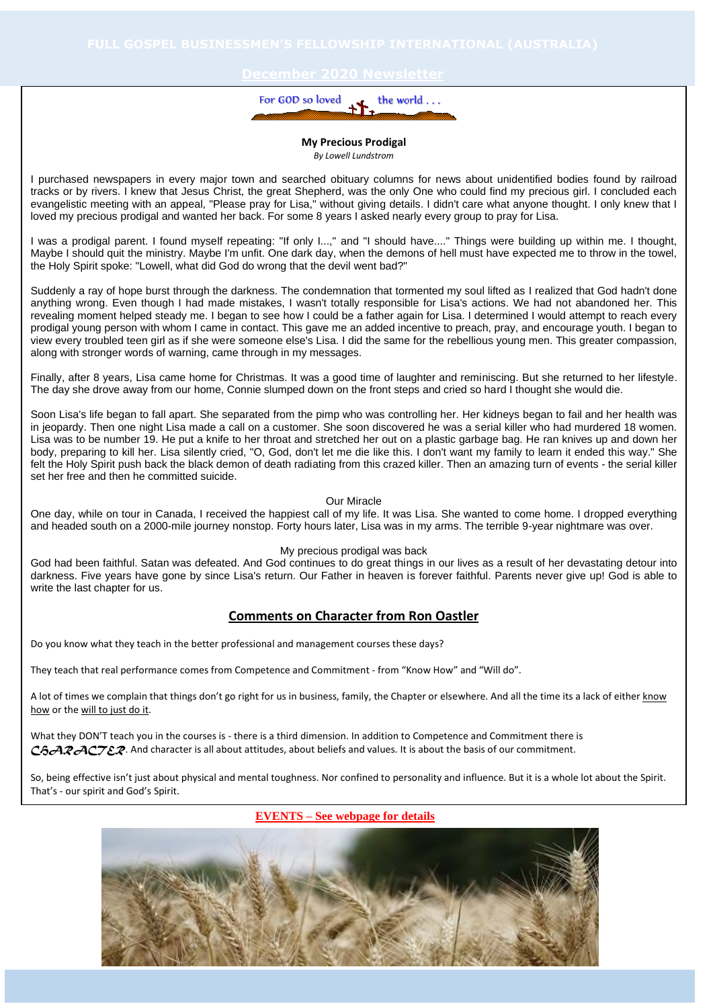

#### **My Precious Prodigal** *By Lowell Lundstrom*

I purchased newspapers in every major town and searched obituary columns for news about unidentified bodies found by railroad tracks or by rivers. I knew that Jesus Christ, the great Shepherd, was the only One who could find my precious girl. I concluded each evangelistic meeting with an appeal, "Please pray for Lisa," without giving details. I didn't care what anyone thought. I only knew that I loved my precious prodigal and wanted her back. For some 8 years I asked nearly every group to pray for Lisa.

I was a prodigal parent. I found myself repeating: "If only I...," and "I should have...." Things were building up within me. I thought, Maybe I should quit the ministry. Maybe I'm unfit. One dark day, when the demons of hell must have expected me to throw in the towel, the Holy Spirit spoke: "Lowell, what did God do wrong that the devil went bad?"

Suddenly a ray of hope burst through the darkness. The condemnation that tormented my soul lifted as I realized that God hadn't done anything wrong. Even though I had made mistakes, I wasn't totally responsible for Lisa's actions. We had not abandoned her. This revealing moment helped steady me. I began to see how I could be a father again for Lisa. I determined I would attempt to reach every prodigal young person with whom I came in contact. This gave me an added incentive to preach, pray, and encourage youth. I began to view every troubled teen girl as if she were someone else's Lisa. I did the same for the rebellious young men. This greater compassion, along with stronger words of warning, came through in my messages.

Finally, after 8 years, Lisa came home for Christmas. It was a good time of laughter and reminiscing. But she returned to her lifestyle. The day she drove away from our home, Connie slumped down on the front steps and cried so hard I thought she would die.

Soon Lisa's life began to fall apart. She separated from the pimp who was controlling her. Her kidneys began to fail and her health was in jeopardy. Then one night Lisa made a call on a customer. She soon discovered he was a serial killer who had murdered 18 women. Lisa was to be number 19. He put a knife to her throat and stretched her out on a plastic garbage bag. He ran knives up and down her body, preparing to kill her. Lisa silently cried, "O, God, don't let me die like this. I don't want my family to learn it ended this way." She felt the Holy Spirit push back the black demon of death radiating from this crazed killer. Then an amazing turn of events - the serial killer set her free and then he committed suicide.

#### Our Miracle

One day, while on tour in Canada, I received the happiest call of my life. It was Lisa. She wanted to come home. I dropped everything and headed south on a 2000-mile journey nonstop. Forty hours later, Lisa was in my arms. The terrible 9-year nightmare was over.

### My precious prodigal was back

God had been faithful. Satan was defeated. And God continues to do great things in our lives as a result of her devastating detour into darkness. Five years have gone by since Lisa's return. Our Father in heaven is forever faithful. Parents never give up! God is able to write the last chapter for us.

# **Comments on Character from Ron Oastler**

Do you know what they teach in the better professional and management courses these days?

They teach that real performance comes from Competence and Commitment - from "Know How" and "Will do".

A lot of times we complain that things don't go right for us in business, family, the Chapter or elsewhere. And all the time its a lack of either know how or the will to just do it.

What they DON'T teach you in the courses is - there is a third dimension. In addition to Competence and Commitment there is C<sub>h</sub>ARACTER. And character is all about attitudes, about beliefs and values. It is about the basis of our commitment.

So, being effective isn't just about physical and mental toughness. Nor confined to personality and influence. But it is a whole lot about the Spirit. That's - our spirit and God's Spirit.

**EVENTS** – See webpage for details